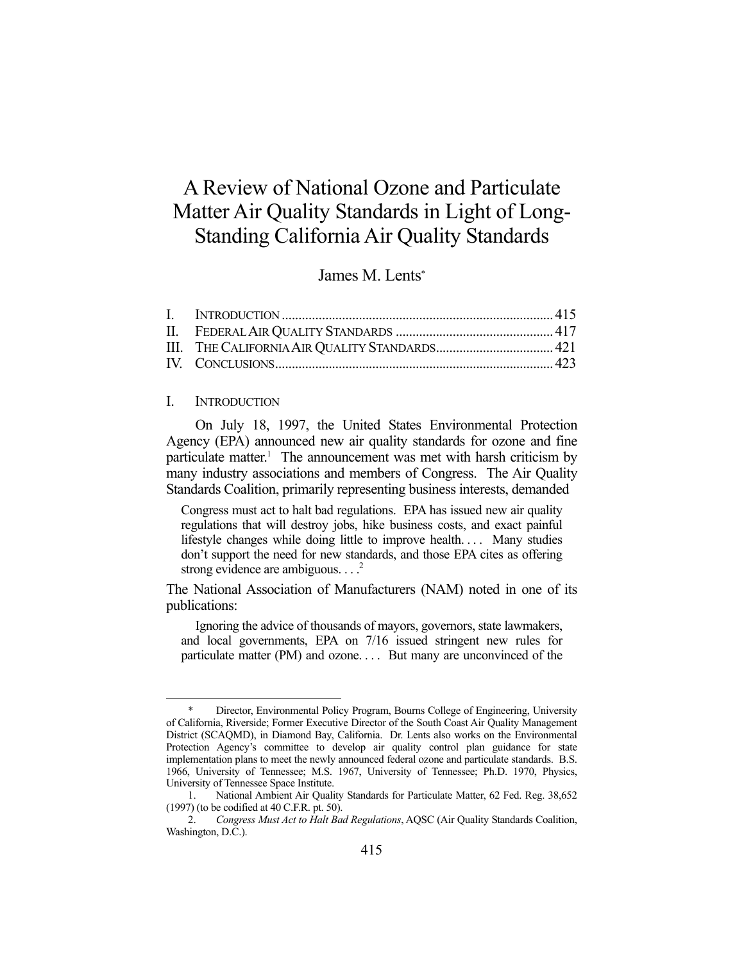# A Review of National Ozone and Particulate Matter Air Quality Standards in Light of Long-Standing California Air Quality Standards

## James M. Lents\*

#### I. INTRODUCTION

1

 On July 18, 1997, the United States Environmental Protection Agency (EPA) announced new air quality standards for ozone and fine particulate matter.<sup>1</sup> The announcement was met with harsh criticism by many industry associations and members of Congress. The Air Quality Standards Coalition, primarily representing business interests, demanded

Congress must act to halt bad regulations. EPA has issued new air quality regulations that will destroy jobs, hike business costs, and exact painful lifestyle changes while doing little to improve health. . . . Many studies don't support the need for new standards, and those EPA cites as offering strong evidence are ambiguous.  $\ldots$ <sup>2</sup>

The National Association of Manufacturers (NAM) noted in one of its publications:

 Ignoring the advice of thousands of mayors, governors, state lawmakers, and local governments, EPA on 7/16 issued stringent new rules for particulate matter (PM) and ozone. . . . But many are unconvinced of the

Director, Environmental Policy Program, Bourns College of Engineering, University of California, Riverside; Former Executive Director of the South Coast Air Quality Management District (SCAQMD), in Diamond Bay, California. Dr. Lents also works on the Environmental Protection Agency's committee to develop air quality control plan guidance for state implementation plans to meet the newly announced federal ozone and particulate standards. B.S. 1966, University of Tennessee; M.S. 1967, University of Tennessee; Ph.D. 1970, Physics, University of Tennessee Space Institute.

 <sup>1.</sup> National Ambient Air Quality Standards for Particulate Matter, 62 Fed. Reg. 38,652 (1997) (to be codified at 40 C.F.R. pt. 50).

 <sup>2.</sup> *Congress Must Act to Halt Bad Regulations*, AQSC (Air Quality Standards Coalition, Washington, D.C.).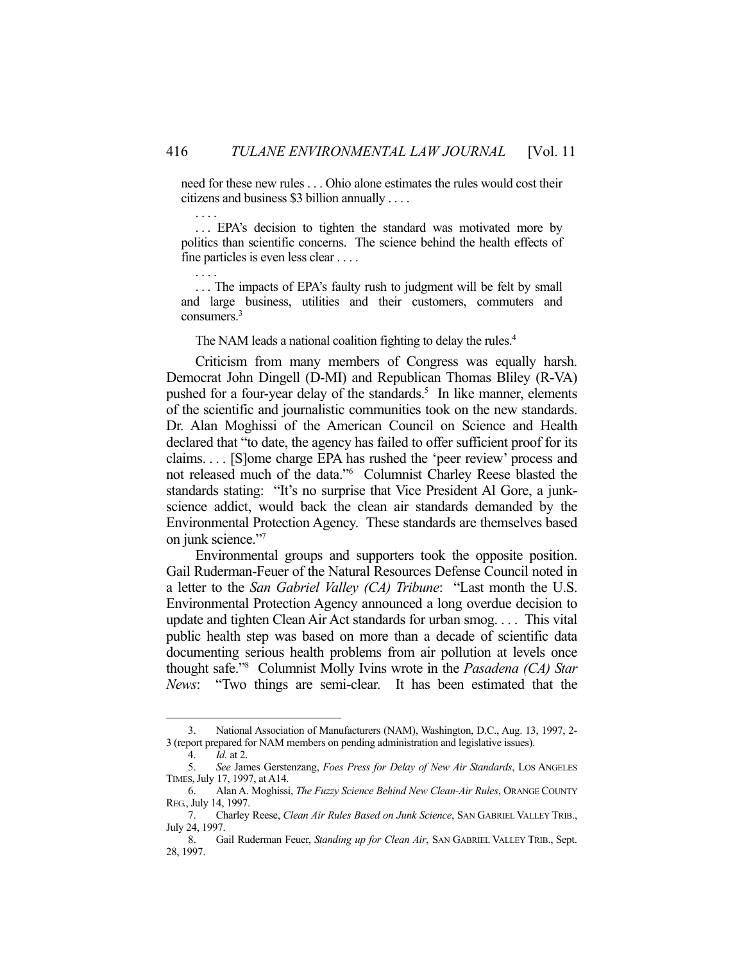need for these new rules . . . Ohio alone estimates the rules would cost their citizens and business \$3 billion annually . . . .

... EPA's decision to tighten the standard was motivated more by politics than scientific concerns. The science behind the health effects of fine particles is even less clear . . . .

... The impacts of EPA's faulty rush to judgment will be felt by small and large business, utilities and their customers, commuters and consumers.<sup>3</sup>

The NAM leads a national coalition fighting to delay the rules. 4

 Criticism from many members of Congress was equally harsh. Democrat John Dingell (D-MI) and Republican Thomas Bliley (R-VA) pushed for a four-year delay of the standards.<sup>5</sup> In like manner, elements of the scientific and journalistic communities took on the new standards. Dr. Alan Moghissi of the American Council on Science and Health declared that "to date, the agency has failed to offer sufficient proof for its claims. . . . [S]ome charge EPA has rushed the 'peer review' process and not released much of the data."6 Columnist Charley Reese blasted the standards stating: "It's no surprise that Vice President Al Gore, a junkscience addict, would back the clean air standards demanded by the Environmental Protection Agency. These standards are themselves based on junk science."7

 Environmental groups and supporters took the opposite position. Gail Ruderman-Feuer of the Natural Resources Defense Council noted in a letter to the *San Gabriel Valley (CA) Tribune*: "Last month the U.S. Environmental Protection Agency announced a long overdue decision to update and tighten Clean Air Act standards for urban smog. . . . This vital public health step was based on more than a decade of scientific data documenting serious health problems from air pollution at levels once thought safe."8 Columnist Molly Ivins wrote in the *Pasadena (CA) Star News*: "Two things are semi-clear. It has been estimated that the

<u>.</u>

. . . .

. . . .

 <sup>3.</sup> National Association of Manufacturers (NAM), Washington, D.C., Aug. 13, 1997, 2- 3 (report prepared for NAM members on pending administration and legislative issues).

 <sup>4.</sup> *Id.* at 2.

 <sup>5.</sup> *See* James Gerstenzang, *Foes Press for Delay of New Air Standards*, LOS ANGELES TIMES,July 17, 1997, at A14.

 <sup>6.</sup> Alan A. Moghissi, *The Fuzzy Science Behind New Clean-Air Rules*, ORANGE COUNTY REG., July 14, 1997.

 <sup>7.</sup> Charley Reese, *Clean Air Rules Based on Junk Science*, SAN GABRIEL VALLEY TRIB., July 24, 1997.

 <sup>8.</sup> Gail Ruderman Feuer, *Standing up for Clean Air*, SAN GABRIEL VALLEY TRIB., Sept. 28, 1997.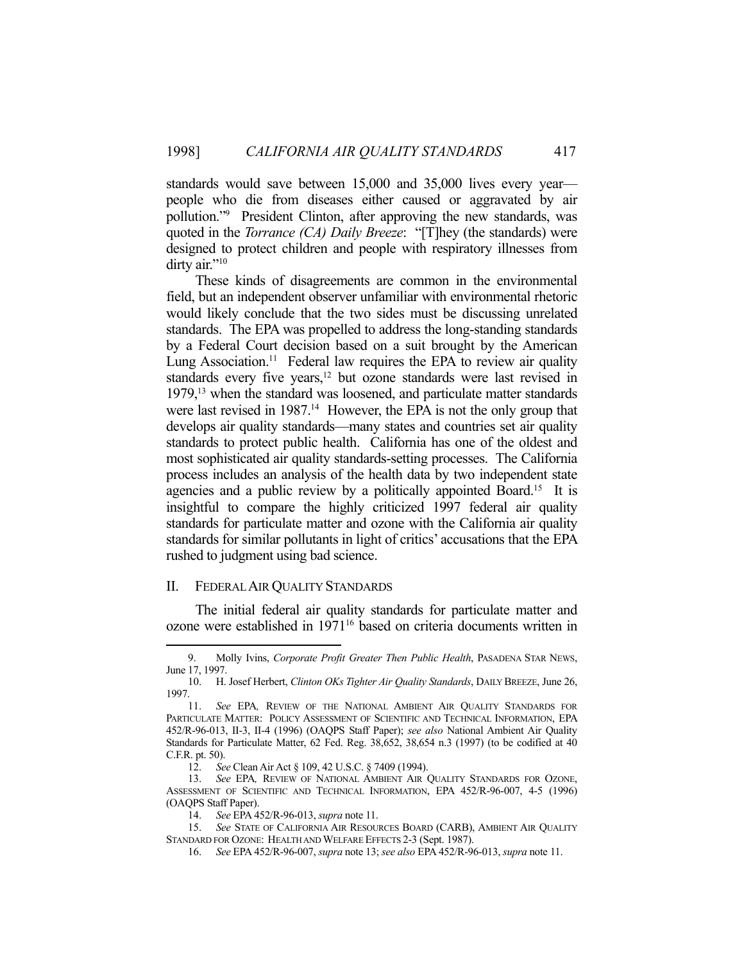standards would save between 15,000 and 35,000 lives every year people who die from diseases either caused or aggravated by air pollution."9 President Clinton, after approving the new standards, was quoted in the *Torrance (CA) Daily Breeze*: "[T]hey (the standards) were designed to protect children and people with respiratory illnesses from dirty air."<sup>10</sup>

 These kinds of disagreements are common in the environmental field, but an independent observer unfamiliar with environmental rhetoric would likely conclude that the two sides must be discussing unrelated standards. The EPA was propelled to address the long-standing standards by a Federal Court decision based on a suit brought by the American Lung Association.<sup>11</sup> Federal law requires the EPA to review air quality standards every five years,<sup>12</sup> but ozone standards were last revised in 1979,13 when the standard was loosened, and particulate matter standards were last revised in 1987.<sup>14</sup> However, the EPA is not the only group that develops air quality standards—many states and countries set air quality standards to protect public health. California has one of the oldest and most sophisticated air quality standards-setting processes. The California process includes an analysis of the health data by two independent state agencies and a public review by a politically appointed Board.<sup>15</sup> It is insightful to compare the highly criticized 1997 federal air quality standards for particulate matter and ozone with the California air quality standards for similar pollutants in light of critics' accusations that the EPA rushed to judgment using bad science.

#### II. FEDERAL AIR QUALITY STANDARDS

1

 The initial federal air quality standards for particulate matter and ozone were established in 1971<sup>16</sup> based on criteria documents written in

 <sup>9.</sup> Molly Ivins, *Corporate Profit Greater Then Public Health*, PASADENA STAR NEWS, June 17, 1997.

 <sup>10.</sup> H. Josef Herbert, *Clinton OKs Tighter Air Quality Standards*, DAILY BREEZE, June 26, 1997.

 <sup>11.</sup> *See* EPA*,* REVIEW OF THE NATIONAL AMBIENT AIR QUALITY STANDARDS FOR PARTICULATE MATTER: POLICY ASSESSMENT OF SCIENTIFIC AND TECHNICAL INFORMATION, EPA 452/R-96-013, II-3, II-4 (1996) (OAQPS Staff Paper); *see also* National Ambient Air Quality Standards for Particulate Matter, 62 Fed. Reg. 38,652, 38,654 n.3 (1997) (to be codified at 40 C.F.R. pt. 50).

 <sup>12.</sup> *See* Clean Air Act § 109, 42 U.S.C. § 7409 (1994).

 <sup>13.</sup> *See* EPA*,* REVIEW OF NATIONAL AMBIENT AIR QUALITY STANDARDS FOR OZONE, ASSESSMENT OF SCIENTIFIC AND TECHNICAL INFORMATION, EPA 452/R-96-007, 4-5 (1996) (OAQPS Staff Paper).

 <sup>14.</sup> *See* EPA 452/R-96-013, *supra* note 11.

 <sup>15.</sup> *See* STATE OF CALIFORNIA AIR RESOURCES BOARD (CARB), AMBIENT AIR QUALITY STANDARD FOR OZONE: HEALTH AND WELFARE EFFECTS 2-3 (Sept. 1987).

 <sup>16.</sup> *See* EPA 452/R-96-007, *supra* note 13; *see also* EPA 452/R-96-013, *supra* note 11.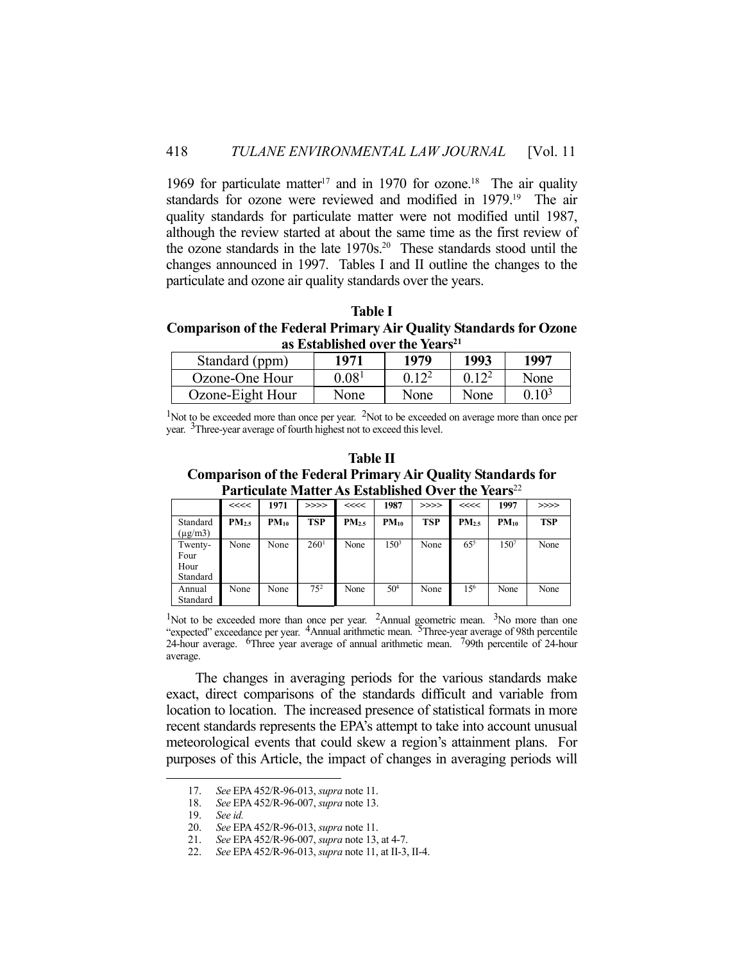1969 for particulate matter<sup>17</sup> and in 1970 for ozone.<sup>18</sup> The air quality standards for ozone were reviewed and modified in 1979.<sup>19</sup> The air quality standards for particulate matter were not modified until 1987, although the review started at about the same time as the first review of the ozone standards in the late 1970s.<sup>20</sup> These standards stood until the changes announced in 1997. Tables I and II outline the changes to the particulate and ozone air quality standards over the years.

**Table I Comparison of the Federal Primary Air Quality Standards for Ozone as Established over the Years21**

| Standard (ppm)   | 1971              | 1979 | 1993              | 1997            |  |  |  |  |
|------------------|-------------------|------|-------------------|-----------------|--|--|--|--|
| Ozone-One Hour   | 0.08 <sup>1</sup> |      | 0.12 <sup>2</sup> | None            |  |  |  |  |
| Ozone-Eight Hour | None              | None | None              | 10 <sup>3</sup> |  |  |  |  |

 $1$ Not to be exceeded more than once per year.  $2$ Not to be exceeded on average more than once per year. 3Three-year average of fourth highest not to exceed this level.

| Table II                                                           |
|--------------------------------------------------------------------|
| <b>Comparison of the Federal Primary Air Quality Standards for</b> |
| Particulate Matter As Established Over the Years <sup>22</sup>     |

**Table II The III** 

| т агисанис нтайса тэл шлаанынга отог анс томгл |                   |           |                  |                   |                  |            |                   |           |            |
|------------------------------------------------|-------------------|-----------|------------------|-------------------|------------------|------------|-------------------|-----------|------------|
|                                                | <<<<              | 1971      | >>>>             | <<                | 1987             | >>>>       | <<<<              | 1997      | >>>>       |
| Standard<br>$(\mu$ g/m $3)$                    | PM <sub>2.5</sub> | $PM_{10}$ | <b>TSP</b>       | PM <sub>2.5</sub> | $PM_{10}$        | <b>TSP</b> | PM <sub>2.5</sub> | $PM_{10}$ | <b>TSP</b> |
| Twenty-<br>Four<br>Hour<br>Standard            | None              | None      | 260 <sup>1</sup> | None              | 150 <sup>3</sup> | None       | $65^{5}$          | 1507      | None       |
| Annual<br>Standard                             | None              | None      | $7.5^{2}$        | None              | $50^{4}$         | None       | 15 <sup>6</sup>   | None      | None       |

<sup>1</sup>Not to be exceeded more than once per year. <sup>2</sup>Annual geometric mean. <sup>3</sup>No more than one "expected" exceedance per year. <sup>4</sup>Annual arithmetic mean. <sup>5</sup>Three-year average of 98th percentile 24-hour average. 6Three year average of annual arithmetic mean. 799th percentile of 24-hour average.

 The changes in averaging periods for the various standards make exact, direct comparisons of the standards difficult and variable from location to location. The increased presence of statistical formats in more recent standards represents the EPA's attempt to take into account unusual meteorological events that could skew a region's attainment plans. For purposes of this Article, the impact of changes in averaging periods will

<u>.</u>

 <sup>17.</sup> *See* EPA 452/R-96-013, *supra* note 11.

 <sup>18.</sup> *See* EPA 452/R-96-007, *supra* note 13.

 <sup>19.</sup> *See id.* 

 <sup>20.</sup> *See* EPA 452/R-96-013, *supra* note 11.

 <sup>21.</sup> *See* EPA 452/R-96-007, *supra* note 13, at 4-7.

 <sup>22.</sup> *See* EPA 452/R-96-013, *supra* note 11, at II-3, II-4.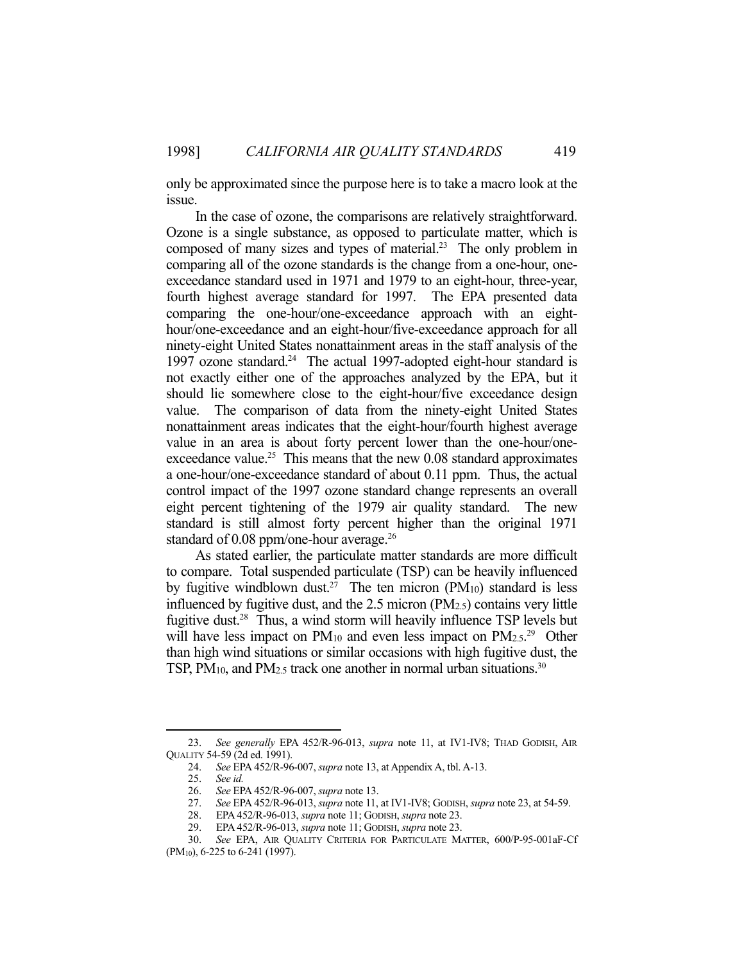only be approximated since the purpose here is to take a macro look at the issue.

 In the case of ozone, the comparisons are relatively straightforward. Ozone is a single substance, as opposed to particulate matter, which is composed of many sizes and types of material.23 The only problem in comparing all of the ozone standards is the change from a one-hour, oneexceedance standard used in 1971 and 1979 to an eight-hour, three-year, fourth highest average standard for 1997. The EPA presented data comparing the one-hour/one-exceedance approach with an eighthour/one-exceedance and an eight-hour/five-exceedance approach for all ninety-eight United States nonattainment areas in the staff analysis of the 1997 ozone standard.<sup>24</sup> The actual 1997-adopted eight-hour standard is not exactly either one of the approaches analyzed by the EPA, but it should lie somewhere close to the eight-hour/five exceedance design value. The comparison of data from the ninety-eight United States nonattainment areas indicates that the eight-hour/fourth highest average value in an area is about forty percent lower than the one-hour/oneexceedance value.<sup>25</sup> This means that the new  $0.08$  standard approximates a one-hour/one-exceedance standard of about 0.11 ppm. Thus, the actual control impact of the 1997 ozone standard change represents an overall eight percent tightening of the 1979 air quality standard. The new standard is still almost forty percent higher than the original 1971 standard of 0.08 ppm/one-hour average.<sup>26</sup>

 As stated earlier, the particulate matter standards are more difficult to compare. Total suspended particulate (TSP) can be heavily influenced by fugitive windblown dust.<sup>27</sup> The ten micron (PM<sub>10</sub>) standard is less influenced by fugitive dust, and the 2.5 micron (PM2.5) contains very little fugitive dust.28 Thus, a wind storm will heavily influence TSP levels but will have less impact on  $PM_{10}$  and even less impact on  $PM_{2.5}$ <sup>29</sup> Other than high wind situations or similar occasions with high fugitive dust, the TSP, PM<sub>10</sub>, and PM<sub>2.5</sub> track one another in normal urban situations.<sup>30</sup>

1

 <sup>23.</sup> *See generally* EPA 452/R-96-013, *supra* note 11, at IV1-IV8; THAD GODISH, AIR QUALITY 54-59 (2d ed. 1991).

 <sup>24.</sup> *See* EPA 452/R-96-007, *supra* note 13, at Appendix A, tbl. A-13.

 <sup>25.</sup> *See id.*

 <sup>26.</sup> *See* EPA 452/R-96-007, *supra* note 13.

 <sup>27.</sup> *See* EPA 452/R-96-013, *supra* note 11, at IV1-IV8; GODISH, *supra* note 23, at 54-59.

 <sup>28.</sup> EPA 452/R-96-013, *supra* note 11; GODISH, *supra* note 23.

 <sup>29.</sup> EPA 452/R-96-013, *supra* note 11; GODISH, *supra* note 23.

 <sup>30.</sup> *See* EPA, AIR QUALITY CRITERIA FOR PARTICULATE MATTER, 600/P-95-001aF-Cf (PM10), 6-225 to 6-241 (1997).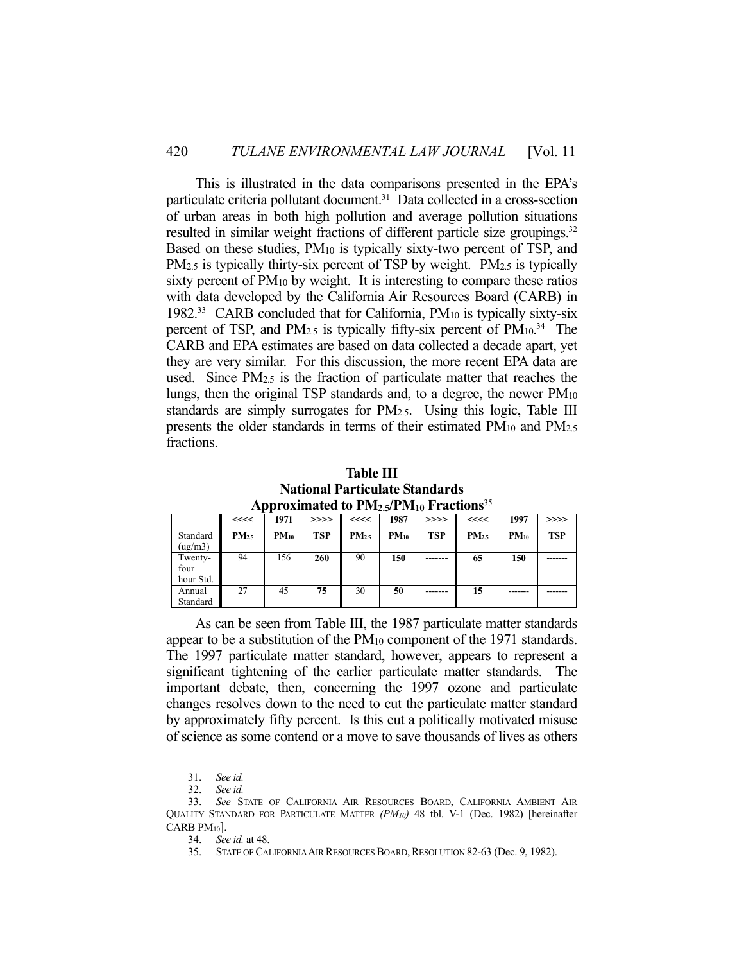This is illustrated in the data comparisons presented in the EPA's particulate criteria pollutant document.<sup>31</sup> Data collected in a cross-section of urban areas in both high pollution and average pollution situations resulted in similar weight fractions of different particle size groupings.<sup>32</sup> Based on these studies, PM<sub>10</sub> is typically sixty-two percent of TSP, and PM<sub>2.5</sub> is typically thirty-six percent of TSP by weight. PM<sub>2.5</sub> is typically sixty percent of  $PM_{10}$  by weight. It is interesting to compare these ratios with data developed by the California Air Resources Board (CARB) in 1982.33 CARB concluded that for California, PM10 is typically sixty-six percent of TSP, and  $PM_{2.5}$  is typically fifty-six percent of  $PM_{10}$ .<sup>34</sup> The CARB and EPA estimates are based on data collected a decade apart, yet they are very similar. For this discussion, the more recent EPA data are used. Since  $PM_{2.5}$  is the fraction of particulate matter that reaches the lungs, then the original TSP standards and, to a degree, the newer  $PM_{10}$ standards are simply surrogates for PM2.5. Using this logic, Table III presents the older standards in terms of their estimated PM10 and PM2.5 fractions.

**National Particulate Standards Approximated to PM<sub>2.5</sub>/PM<sub>10</sub> Fractions<sup>35</sup><br>
See 1971 1 >>>> 1 <<<< 1987 1 >>>> 1 <<<< <<<< 1971 >>>> <<<< 1987 >>>> <<<< 1997 >>>>** Standard  $(ue/m3)$ **PM2.5 PM10 TSP PM2.5 PM10 TSP PM2.5 PM10 TSP** Twentyfour hour Std. 94 156 **260** 90 **150** ------- **65 150** -------

27 45 **75** 30 **50** ------- **15** ------- -------

**Table III** 

 As can be seen from Table III, the 1987 particulate matter standards appear to be a substitution of the PM<sub>10</sub> component of the 1971 standards. The 1997 particulate matter standard, however, appears to represent a significant tightening of the earlier particulate matter standards. The important debate, then, concerning the 1997 ozone and particulate changes resolves down to the need to cut the particulate matter standard by approximately fifty percent. Is this cut a politically motivated misuse of science as some contend or a move to save thousands of lives as others

1

Annual Standard

 <sup>31.</sup> *See id.*

 <sup>32.</sup> *See id.*

 <sup>33.</sup> *See* STATE OF CALIFORNIA AIR RESOURCES BOARD, CALIFORNIA AMBIENT AIR QUALITY STANDARD FOR PARTICULATE MATTER *(PM10)* 48 tbl. V-1 (Dec. 1982) [hereinafter CARB  $PM_{10}$ .

 <sup>34.</sup> *See id.* at 48.

<sup>35.</sup> STATE OF CALIFORNIA AIR RESOURCES BOARD, RESOLUTION 82-63 (Dec. 9, 1982).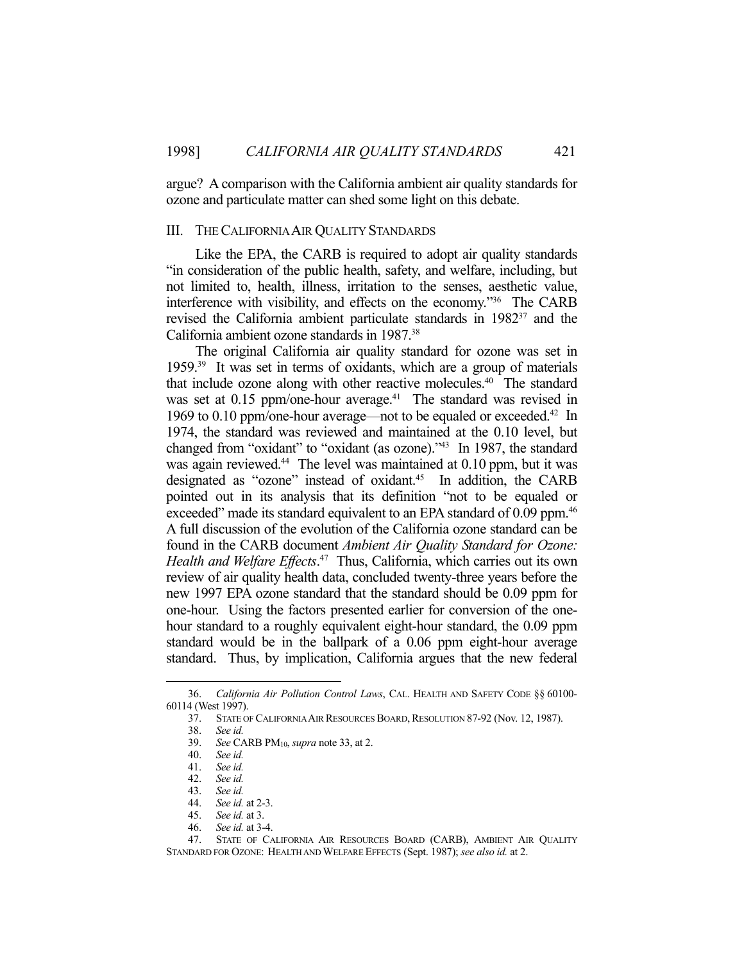argue? A comparison with the California ambient air quality standards for ozone and particulate matter can shed some light on this debate.

#### III. THE CALIFORNIA AIR QUALITY STANDARDS

 Like the EPA, the CARB is required to adopt air quality standards "in consideration of the public health, safety, and welfare, including, but not limited to, health, illness, irritation to the senses, aesthetic value, interference with visibility, and effects on the economy."36 The CARB revised the California ambient particulate standards in 198237 and the California ambient ozone standards in 1987.38

 The original California air quality standard for ozone was set in 1959.39 It was set in terms of oxidants, which are a group of materials that include ozone along with other reactive molecules.<sup>40</sup> The standard was set at  $0.15$  ppm/one-hour average.<sup>41</sup> The standard was revised in 1969 to 0.10 ppm/one-hour average—not to be equaled or exceeded. 42 In 1974, the standard was reviewed and maintained at the 0.10 level, but changed from "oxidant" to "oxidant (as ozone)."43 In 1987, the standard was again reviewed.<sup>44</sup> The level was maintained at 0.10 ppm, but it was designated as "ozone" instead of oxidant.<sup>45</sup> In addition, the CARB pointed out in its analysis that its definition "not to be equaled or exceeded" made its standard equivalent to an EPA standard of 0.09 ppm.<sup>46</sup> A full discussion of the evolution of the California ozone standard can be found in the CARB document *Ambient Air Quality Standard for Ozone: Health and Welfare Effects*. 47 Thus, California, which carries out its own review of air quality health data, concluded twenty-three years before the new 1997 EPA ozone standard that the standard should be 0.09 ppm for one-hour. Using the factors presented earlier for conversion of the onehour standard to a roughly equivalent eight-hour standard, the 0.09 ppm standard would be in the ballpark of a 0.06 ppm eight-hour average standard. Thus, by implication, California argues that the new federal

1

45. *See id.* at 3.

 <sup>36.</sup> *California Air Pollution Control Laws*, CAL. HEALTH AND SAFETY CODE §§ 60100- 60114 (West 1997).

 <sup>37.</sup> STATE OF CALIFORNIA AIR RESOURCES BOARD,RESOLUTION 87-92 (Nov. 12, 1987).

 <sup>38.</sup> *See id.*

 <sup>39.</sup> *See* CARB PM10, *supra* note 33, at 2.

 <sup>40.</sup> *See id.*

 <sup>41.</sup> *See id.*

 <sup>42.</sup> *See id.* 43. *See id.*

 <sup>44.</sup> *See id.* at 2-3.

 <sup>46.</sup> *See id.* at 3-4.

 <sup>47.</sup> STATE OF CALIFORNIA AIR RESOURCES BOARD (CARB), AMBIENT AIR QUALITY STANDARD FOR OZONE: HEALTH AND WELFARE EFFECTS (Sept. 1987); *see also id.* at 2.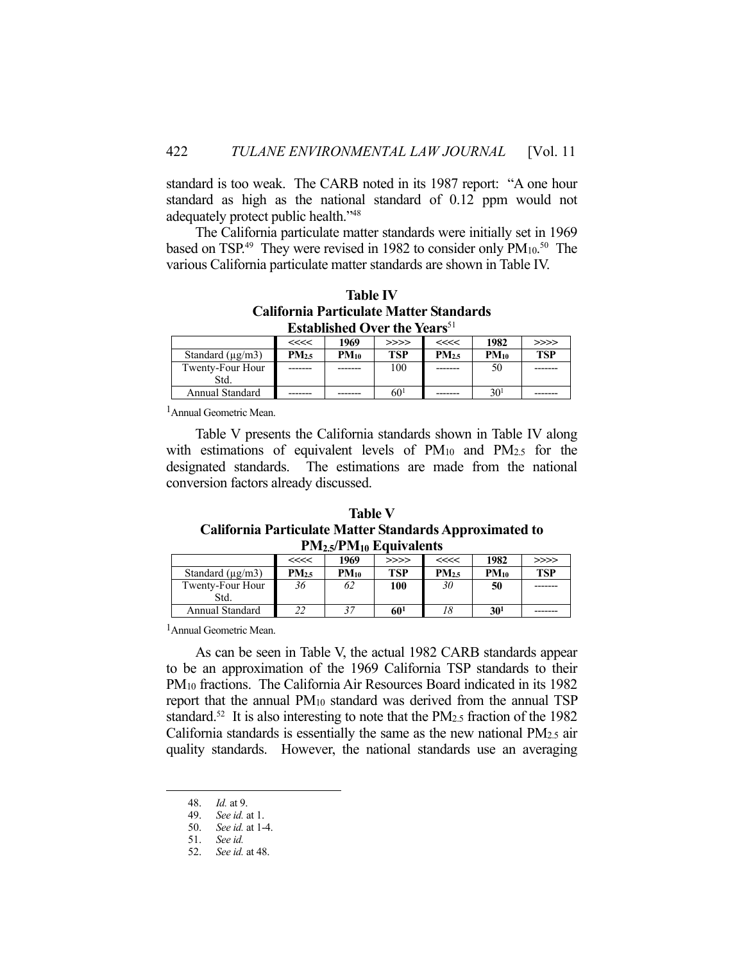standard is too weak. The CARB noted in its 1987 report: "A one hour standard as high as the national standard of 0.12 ppm would not adequately protect public health."48

 The California particulate matter standards were initially set in 1969 based on TSP.<sup>49</sup> They were revised in 1982 to consider only PM<sub>10</sub>.<sup>50</sup> The various California particulate matter standards are shown in Table IV.

| <b>Table IV</b>                                 |
|-------------------------------------------------|
| California Particulate Matter Standards         |
| <b>Established Over the Years</b> <sup>51</sup> |

|                       | <<<<             | 1969      | >>>>            | <<<<             | 1982            | >>>>       |
|-----------------------|------------------|-----------|-----------------|------------------|-----------------|------------|
| Standard $(\mu g/m3)$ | PM <sub>25</sub> | $PM_{10}$ | <b>TSP</b>      | PM <sub>25</sub> | $PM_{10}$       | <b>TSP</b> |
| Twenty-Four Hour      |                  |           | 100             |                  | 50              |            |
| Std.                  |                  |           |                 |                  |                 |            |
| Annual Standard       |                  |           | 60 <sup>1</sup> |                  | 30 <sup>1</sup> |            |

1Annual Geometric Mean.

 Table V presents the California standards shown in Table IV along with estimations of equivalent levels of PM<sub>10</sub> and PM<sub>2.5</sub> for the designated standards. The estimations are made from the national conversion factors already discussed.

**Table V California Particulate Matter Standards Approximated to PM2.5/PM10 Equivalents**

| $\mathbf{1}$ $\mathbf{1}$ |            |           |                 |                  |                 |            |  |  |
|---------------------------|------------|-----------|-----------------|------------------|-----------------|------------|--|--|
|                           | <<<<       | 1969      | >>>>            | <<<<             | 1982            | >>>>       |  |  |
| Standard $(\mu g/m3)$     | $PM_{2.5}$ | $PM_{10}$ | <b>TSP</b>      | PM <sub>25</sub> | $PM_{10}$       | <b>TSP</b> |  |  |
| Twenty-Four Hour          | 36         | 62        | 100             | 30               | 50              |            |  |  |
| Std.                      |            |           |                 |                  |                 |            |  |  |
| Annual Standard           | າາ<br>44   |           | 60 <sup>1</sup> | 18               | 30 <sup>1</sup> |            |  |  |

1Annual Geometric Mean.

 As can be seen in Table V, the actual 1982 CARB standards appear to be an approximation of the 1969 California TSP standards to their PM10 fractions. The California Air Resources Board indicated in its 1982 report that the annual PM10 standard was derived from the annual TSP standard.<sup>52</sup> It is also interesting to note that the PM $_{2.5}$  fraction of the 1982 California standards is essentially the same as the new national PM2.5 air quality standards. However, the national standards use an averaging

1

 <sup>48.</sup> *Id.* at 9.

 <sup>49.</sup> *See id.* at 1.

 <sup>50.</sup> *See id.* at 1-4.

 <sup>51.</sup> *See id.*

 <sup>52.</sup> *See id.* at 48.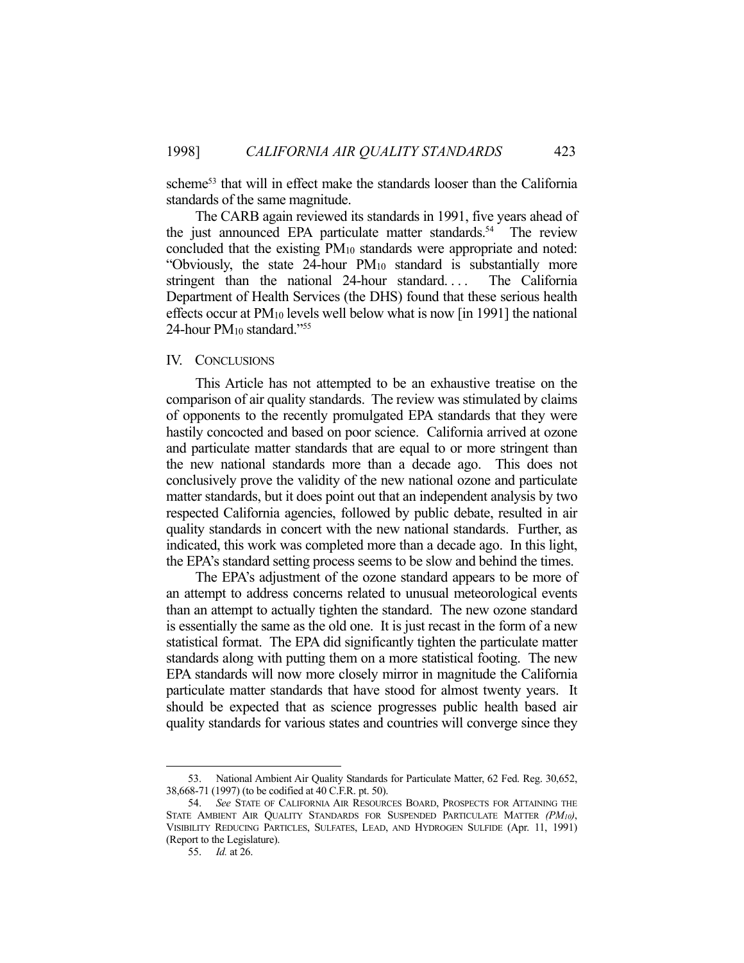scheme<sup>53</sup> that will in effect make the standards looser than the California standards of the same magnitude.

 The CARB again reviewed its standards in 1991, five years ahead of the just announced EPA particulate matter standards.<sup>54</sup> The review concluded that the existing PM10 standards were appropriate and noted: "Obviously, the state 24-hour PM10 standard is substantially more stringent than the national 24-hour standard.... The California Department of Health Services (the DHS) found that these serious health effects occur at PM10 levels well below what is now [in 1991] the national 24-hour PM<sub>10</sub> standard."<sup>55</sup>

### IV. CONCLUSIONS

 This Article has not attempted to be an exhaustive treatise on the comparison of air quality standards. The review was stimulated by claims of opponents to the recently promulgated EPA standards that they were hastily concocted and based on poor science. California arrived at ozone and particulate matter standards that are equal to or more stringent than the new national standards more than a decade ago. This does not conclusively prove the validity of the new national ozone and particulate matter standards, but it does point out that an independent analysis by two respected California agencies, followed by public debate, resulted in air quality standards in concert with the new national standards. Further, as indicated, this work was completed more than a decade ago. In this light, the EPA's standard setting process seems to be slow and behind the times.

 The EPA's adjustment of the ozone standard appears to be more of an attempt to address concerns related to unusual meteorological events than an attempt to actually tighten the standard. The new ozone standard is essentially the same as the old one. It is just recast in the form of a new statistical format. The EPA did significantly tighten the particulate matter standards along with putting them on a more statistical footing. The new EPA standards will now more closely mirror in magnitude the California particulate matter standards that have stood for almost twenty years. It should be expected that as science progresses public health based air quality standards for various states and countries will converge since they

1

 <sup>53.</sup> National Ambient Air Quality Standards for Particulate Matter, 62 Fed. Reg. 30,652, 38,668-71 (1997) (to be codified at 40 C.F.R. pt. 50).

 <sup>54.</sup> *See* STATE OF CALIFORNIA AIR RESOURCES BOARD, PROSPECTS FOR ATTAINING THE STATE AMBIENT AIR QUALITY STANDARDS FOR SUSPENDED PARTICULATE MATTER *(PM10)*, VISIBILITY REDUCING PARTICLES, SULFATES, LEAD, AND HYDROGEN SULFIDE (Apr. 11, 1991) (Report to the Legislature).